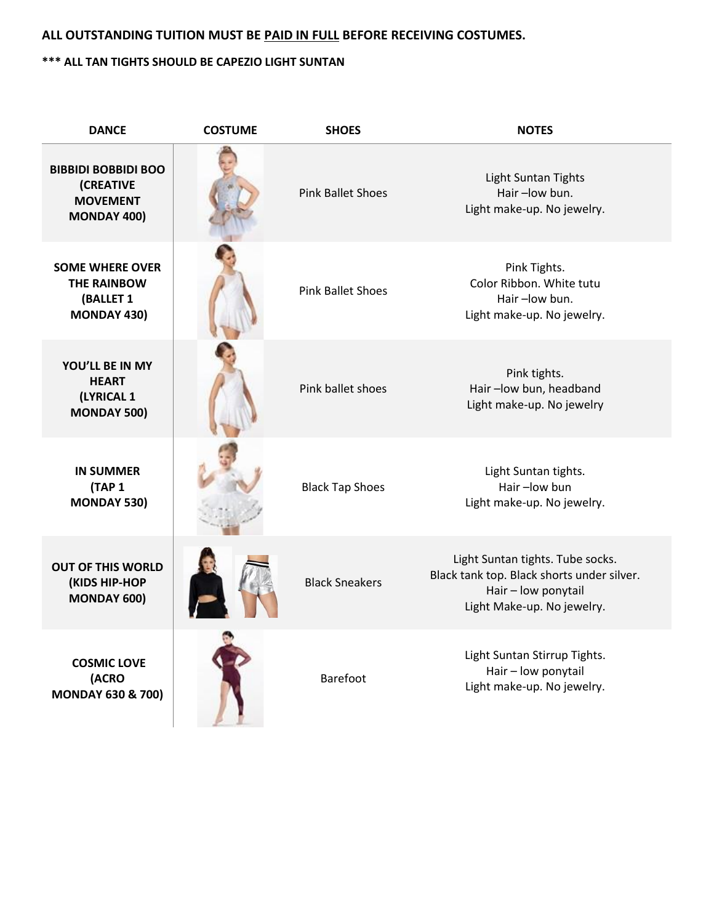## **ALL OUTSTANDING TUITION MUST BE PAID IN FULL BEFORE RECEIVING COSTUMES.**

## **\*\*\* ALL TAN TIGHTS SHOULD BE CAPEZIO LIGHT SUNTAN**

| <b>DANCE</b>                                                                            | <b>COSTUME</b> | <b>SHOES</b>             | <b>NOTES</b>                                                                                                                        |
|-----------------------------------------------------------------------------------------|----------------|--------------------------|-------------------------------------------------------------------------------------------------------------------------------------|
| <b>BIBBIDI BOBBIDI BOO</b><br><b>(CREATIVE</b><br><b>MOVEMENT</b><br><b>MONDAY 400)</b> |                | <b>Pink Ballet Shoes</b> | <b>Light Suntan Tights</b><br>Hair-low bun.<br>Light make-up. No jewelry.                                                           |
| <b>SOME WHERE OVER</b><br><b>THE RAINBOW</b><br>(BALLET 1<br><b>MONDAY 430)</b>         |                | <b>Pink Ballet Shoes</b> | Pink Tights.<br>Color Ribbon. White tutu<br>Hair-low bun.<br>Light make-up. No jewelry.                                             |
| YOU'LL BE IN MY<br><b>HEART</b><br>(LYRICAL 1<br><b>MONDAY 500)</b>                     |                | Pink ballet shoes        | Pink tights.<br>Hair-low bun, headband<br>Light make-up. No jewelry                                                                 |
| <b>IN SUMMER</b><br><b>(TAP 1)</b><br><b>MONDAY 530)</b>                                |                | <b>Black Tap Shoes</b>   | Light Suntan tights.<br>Hair-low bun<br>Light make-up. No jewelry.                                                                  |
| <b>OUT OF THIS WORLD</b><br>(KIDS HIP-HOP<br><b>MONDAY 600)</b>                         |                | <b>Black Sneakers</b>    | Light Suntan tights. Tube socks.<br>Black tank top. Black shorts under silver.<br>Hair - low ponytail<br>Light Make-up. No jewelry. |
| <b>COSMIC LOVE</b><br>(ACRO<br><b>MONDAY 630 &amp; 700)</b>                             |                | <b>Barefoot</b>          | Light Suntan Stirrup Tights.<br>Hair - low ponytail<br>Light make-up. No jewelry.                                                   |